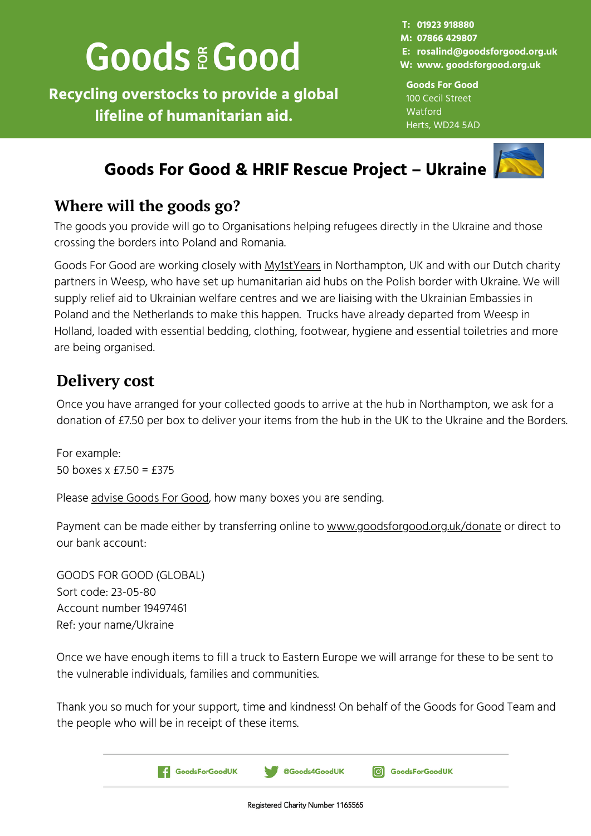# **Goods & Good**

**Recycling overstocks to provide a global lifeline of humanitarian aid.**

**01923 918880 T: 07866 429807 M: rosalind@goodsforgood.org.uk E: www. goodsforgood.org.uk W:**

**Goods For Good** 100 Cecil Street Watford Herts, WD24 5AD



# **Goods For Good & HRIF Rescue Project – Ukraine**

#### **Where will the goods go?**

The goods you provide will go to Organisations helping refugees directly in the Ukraine and those crossing the borders into Poland and Romania.

Goods For Good are working closely with [My1stYears](https://www.my1styears.com/) in Northampton, UK and with our Dutch charity partners in Weesp, who have set up humanitarian aid hubs on the Polish border with Ukraine. We will supply relief aid to Ukrainian welfare centres and we are liaising with the Ukrainian Embassies in Poland and the Netherlands to make this happen. Trucks have already departed from Weesp in Holland, loaded with essential bedding, clothing, footwear, hygiene and essential toiletries and more are being organised.

### **Delivery cost**

Once you have arranged for your collected goods to arrive at the hub in Northampton, we ask for a donation of £7.50 per box to deliver your items from the hub in the UK to the Ukraine and the Borders.

For example: 50 boxes x £7.50 = £375

Please advise [Goods](mailto:sarah@goodsforgood.org.uk) For Good, how many boxes you are sending.

Payment can be made either by transferring online to [www.goodsforgood.org.uk/donate](http://www.goodsforgood.org.uk/donate) or direct to our bank account:

GOODS FOR GOOD (GLOBAL) Sort code: 23-05-80 Account number 19497461 Ref: your name/Ukraine

Once we have enough items to fill a truck to Eastern Europe we will arrange for these to be sent to the vulnerable individuals, families and communities.

Thank you so much for your support, time and kindness! On behalf of the Goods for Good Team and the people who will be in receipt of these items.

| <b>COODSForGoodUK</b> | CGoods4GoodUK | <b>6</b> GoodsForGoodUK |  |
|-----------------------|---------------|-------------------------|--|
|-----------------------|---------------|-------------------------|--|